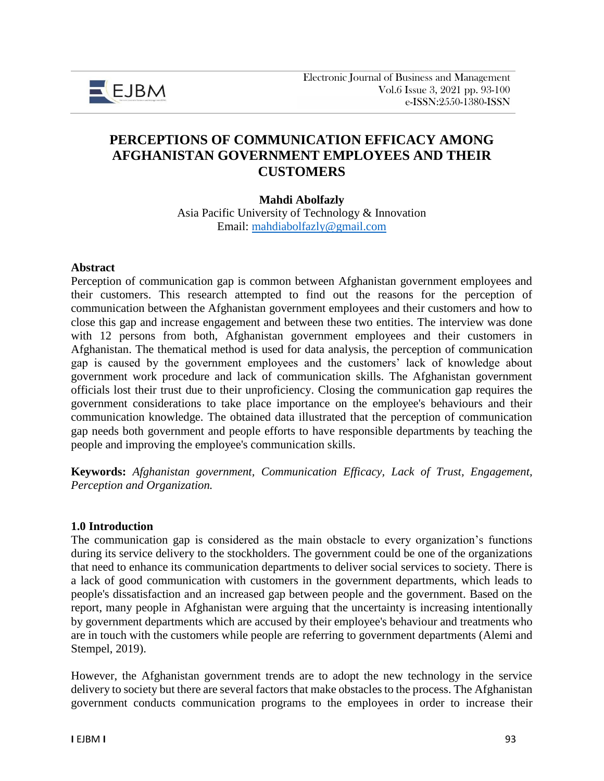

# **PERCEPTIONS OF COMMUNICATION EFFICACY AMONG AFGHANISTAN GOVERNMENT EMPLOYEES AND THEIR CUSTOMERS**

### **Mahdi Abolfazly**

Asia Pacific University of Technology & Innovation Email: [mahdiabolfazly@gmail.com](mailto:mahdiabolfazly@gmail.com)

#### **Abstract**

Perception of communication gap is common between Afghanistan government employees and their customers. This research attempted to find out the reasons for the perception of communication between the Afghanistan government employees and their customers and how to close this gap and increase engagement and between these two entities. The interview was done with 12 persons from both, Afghanistan government employees and their customers in Afghanistan. The thematical method is used for data analysis, the perception of communication gap is caused by the government employees and the customers' lack of knowledge about government work procedure and lack of communication skills. The Afghanistan government officials lost their trust due to their unproficiency. Closing the communication gap requires the government considerations to take place importance on the employee's behaviours and their communication knowledge. The obtained data illustrated that the perception of communication gap needs both government and people efforts to have responsible departments by teaching the people and improving the employee's communication skills.

**Keywords:** *Afghanistan government, Communication Efficacy, Lack of Trust, Engagement, Perception and Organization.*

### **1.0 Introduction**

The communication gap is considered as the main obstacle to every organization's functions during its service delivery to the stockholders. The government could be one of the organizations that need to enhance its communication departments to deliver social services to society. There is a lack of good communication with customers in the government departments, which leads to people's dissatisfaction and an increased gap between people and the government. Based on the report, many people in Afghanistan were arguing that the uncertainty is increasing intentionally by government departments which are accused by their employee's behaviour and treatments who are in touch with the customers while people are referring to government departments (Alemi and Stempel, 2019).

However, the Afghanistan government trends are to adopt the new technology in the service delivery to society but there are several factors that make obstacles to the process. The Afghanistan government conducts communication programs to the employees in order to increase their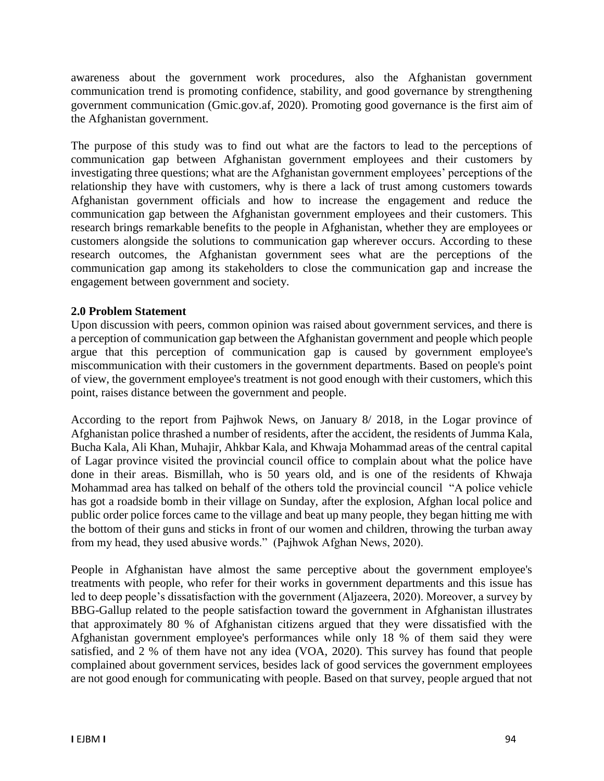awareness about the government work procedures, also the Afghanistan government communication trend is promoting confidence, stability, and good governance by strengthening government communication (Gmic.gov.af, 2020). Promoting good governance is the first aim of the Afghanistan government.

The purpose of this study was to find out what are the factors to lead to the perceptions of communication gap between Afghanistan government employees and their customers by investigating three questions; what are the Afghanistan government employees' perceptions of the relationship they have with customers, why is there a lack of trust among customers towards Afghanistan government officials and how to increase the engagement and reduce the communication gap between the Afghanistan government employees and their customers. This research brings remarkable benefits to the people in Afghanistan, whether they are employees or customers alongside the solutions to communication gap wherever occurs. According to these research outcomes, the Afghanistan government sees what are the perceptions of the communication gap among its stakeholders to close the communication gap and increase the engagement between government and society.

## **2.0 Problem Statement**

Upon discussion with peers, common opinion was raised about government services, and there is a perception of communication gap between the Afghanistan government and people which people argue that this perception of communication gap is caused by government employee's miscommunication with their customers in the government departments. Based on people's point of view, the government employee's treatment is not good enough with their customers, which this point, raises distance between the government and people.

According to the report from Pajhwok News, on January 8/ 2018, in the Logar province of Afghanistan police thrashed a number of residents, after the accident, the residents of Jumma Kala, Bucha Kala, Ali Khan, Muhajir, Ahkbar Kala, and Khwaja Mohammad areas of the central capital of Lagar province visited the provincial council office to complain about what the police have done in their areas. Bismillah, who is 50 years old, and is one of the residents of Khwaja Mohammad area has talked on behalf of the others told the provincial council "A police vehicle has got a roadside bomb in their village on Sunday, after the explosion, Afghan local police and public order police forces came to the village and beat up many people, they began hitting me with the bottom of their guns and sticks in front of our women and children, throwing the turban away from my head, they used abusive words." (Pajhwok Afghan News, 2020).

People in Afghanistan have almost the same perceptive about the government employee's treatments with people, who refer for their works in government departments and this issue has led to deep people's dissatisfaction with the government (Aljazeera, 2020). Moreover, a survey by BBG-Gallup related to the people satisfaction toward the government in Afghanistan illustrates that approximately 80 % of Afghanistan citizens argued that they were dissatisfied with the Afghanistan government employee's performances while only 18 % of them said they were satisfied, and 2 % of them have not any idea (VOA, 2020). This survey has found that people complained about government services, besides lack of good services the government employees are not good enough for communicating with people. Based on that survey, people argued that not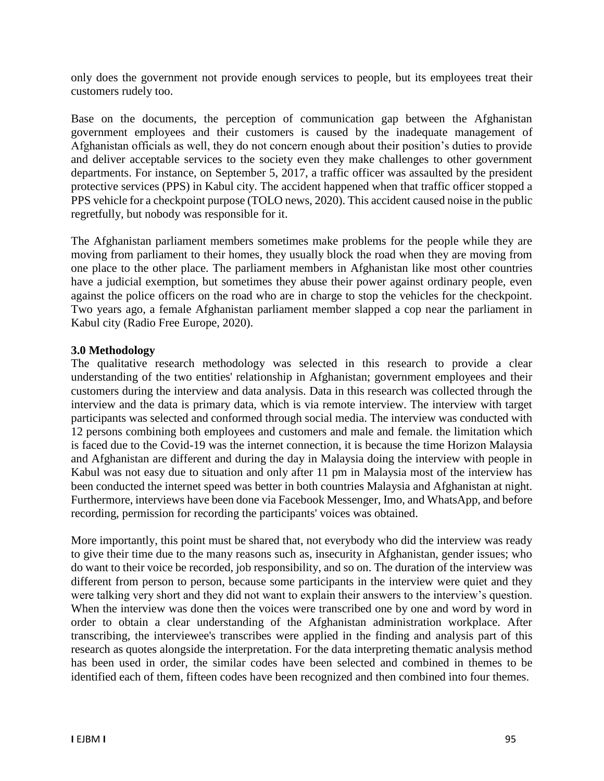only does the government not provide enough services to people, but its employees treat their customers rudely too.

Base on the documents, the perception of communication gap between the Afghanistan government employees and their customers is caused by the inadequate management of Afghanistan officials as well, they do not concern enough about their position's duties to provide and deliver acceptable services to the society even they make challenges to other government departments. For instance, on September 5, 2017, a traffic officer was assaulted by the president protective services (PPS) in Kabul city. The accident happened when that traffic officer stopped a PPS vehicle for a checkpoint purpose (TOLO news, 2020). This accident caused noise in the public regretfully, but nobody was responsible for it.

The Afghanistan parliament members sometimes make problems for the people while they are moving from parliament to their homes, they usually block the road when they are moving from one place to the other place. The parliament members in Afghanistan like most other countries have a judicial exemption, but sometimes they abuse their power against ordinary people, even against the police officers on the road who are in charge to stop the vehicles for the checkpoint. Two years ago, a female Afghanistan parliament member slapped a cop near the parliament in Kabul city (Radio Free Europe, 2020).

## **3.0 Methodology**

The qualitative research methodology was selected in this research to provide a clear understanding of the two entities' relationship in Afghanistan; government employees and their customers during the interview and data analysis. Data in this research was collected through the interview and the data is primary data, which is via remote interview. The interview with target participants was selected and conformed through social media. The interview was conducted with 12 persons combining both employees and customers and male and female. the limitation which is faced due to the Covid-19 was the internet connection, it is because the time Horizon Malaysia and Afghanistan are different and during the day in Malaysia doing the interview with people in Kabul was not easy due to situation and only after 11 pm in Malaysia most of the interview has been conducted the internet speed was better in both countries Malaysia and Afghanistan at night. Furthermore, interviews have been done via Facebook Messenger, Imo, and WhatsApp, and before recording, permission for recording the participants' voices was obtained.

More importantly, this point must be shared that, not everybody who did the interview was ready to give their time due to the many reasons such as, insecurity in Afghanistan, gender issues; who do want to their voice be recorded, job responsibility, and so on. The duration of the interview was different from person to person, because some participants in the interview were quiet and they were talking very short and they did not want to explain their answers to the interview's question. When the interview was done then the voices were transcribed one by one and word by word in order to obtain a clear understanding of the Afghanistan administration workplace. After transcribing, the interviewee's transcribes were applied in the finding and analysis part of this research as quotes alongside the interpretation. For the data interpreting thematic analysis method has been used in order, the similar codes have been selected and combined in themes to be identified each of them, fifteen codes have been recognized and then combined into four themes.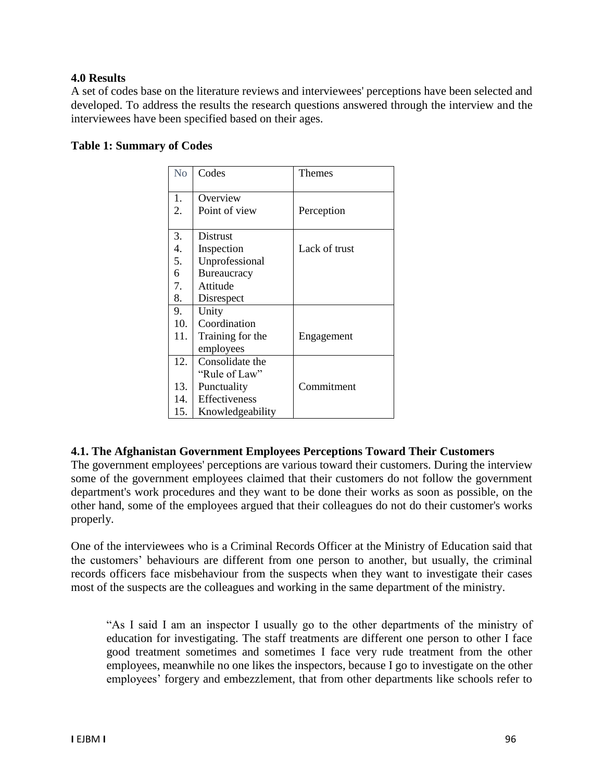### **4.0 Results**

A set of codes base on the literature reviews and interviewees' perceptions have been selected and developed. To address the results the research questions answered through the interview and the interviewees have been specified based on their ages.

### **Table 1: Summary of Codes**

| N <sub>o</sub> | Codes            | Themes        |
|----------------|------------------|---------------|
| 1.             | Overview         |               |
| 2.             | Point of view    | Perception    |
| 3.             | Distrust         |               |
| 4.             | Inspection       | Lack of trust |
| 5.             | Unprofessional   |               |
| 6              | Bureaucracy      |               |
| 7.             | Attitude         |               |
| 8.             | Disrespect       |               |
| 9.             | Unity            |               |
| 10.            | Coordination     |               |
| 11.            | Training for the | Engagement    |
|                | employees        |               |
| 12.            | Consolidate the  |               |
|                | "Rule of Law"    |               |
| 13.            | Punctuality      | Commitment    |
| 14.            | Effectiveness    |               |
| 15.            | Knowledgeability |               |

### **4.1. The Afghanistan Government Employees Perceptions Toward Their Customers**

The government employees' perceptions are various toward their customers. During the interview some of the government employees claimed that their customers do not follow the government department's work procedures and they want to be done their works as soon as possible, on the other hand, some of the employees argued that their colleagues do not do their customer's works properly.

One of the interviewees who is a Criminal Records Officer at the Ministry of Education said that the customers' behaviours are different from one person to another, but usually, the criminal records officers face misbehaviour from the suspects when they want to investigate their cases most of the suspects are the colleagues and working in the same department of the ministry.

"As I said I am an inspector I usually go to the other departments of the ministry of education for investigating. The staff treatments are different one person to other I face good treatment sometimes and sometimes I face very rude treatment from the other employees, meanwhile no one likes the inspectors, because I go to investigate on the other employees' forgery and embezzlement, that from other departments like schools refer to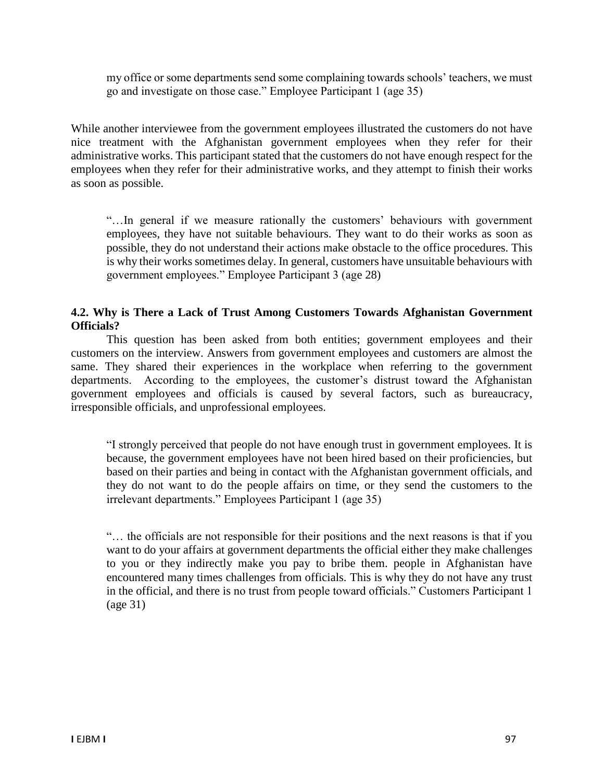my office or some departments send some complaining towards schools' teachers, we must go and investigate on those case." Employee Participant 1 (age 35)

While another interviewee from the government employees illustrated the customers do not have nice treatment with the Afghanistan government employees when they refer for their administrative works. This participant stated that the customers do not have enough respect for the employees when they refer for their administrative works, and they attempt to finish their works as soon as possible.

"…In general if we measure rationally the customers' behaviours with government employees, they have not suitable behaviours. They want to do their works as soon as possible, they do not understand their actions make obstacle to the office procedures. This is why their works sometimes delay. In general, customers have unsuitable behaviours with government employees." Employee Participant 3 (age 28)

## **4.2. Why is There a Lack of Trust Among Customers Towards Afghanistan Government Officials?**

This question has been asked from both entities; government employees and their customers on the interview. Answers from government employees and customers are almost the same. They shared their experiences in the workplace when referring to the government departments. According to the employees, the customer's distrust toward the Afghanistan government employees and officials is caused by several factors, such as bureaucracy, irresponsible officials, and unprofessional employees.

"I strongly perceived that people do not have enough trust in government employees. It is because, the government employees have not been hired based on their proficiencies, but based on their parties and being in contact with the Afghanistan government officials, and they do not want to do the people affairs on time, or they send the customers to the irrelevant departments." Employees Participant 1 (age 35)

"… the officials are not responsible for their positions and the next reasons is that if you want to do your affairs at government departments the official either they make challenges to you or they indirectly make you pay to bribe them. people in Afghanistan have encountered many times challenges from officials. This is why they do not have any trust in the official, and there is no trust from people toward officials." Customers Participant 1 (age 31)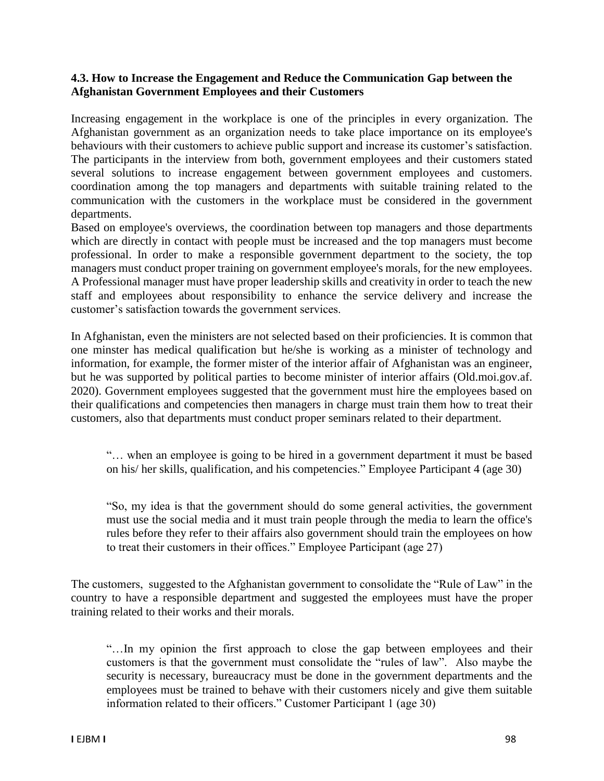### **4.3. How to Increase the Engagement and Reduce the Communication Gap between the Afghanistan Government Employees and their Customers**

Increasing engagement in the workplace is one of the principles in every organization. The Afghanistan government as an organization needs to take place importance on its employee's behaviours with their customers to achieve public support and increase its customer's satisfaction. The participants in the interview from both, government employees and their customers stated several solutions to increase engagement between government employees and customers. coordination among the top managers and departments with suitable training related to the communication with the customers in the workplace must be considered in the government departments.

Based on employee's overviews, the coordination between top managers and those departments which are directly in contact with people must be increased and the top managers must become professional. In order to make a responsible government department to the society, the top managers must conduct proper training on government employee's morals, for the new employees. A Professional manager must have proper leadership skills and creativity in order to teach the new staff and employees about responsibility to enhance the service delivery and increase the customer's satisfaction towards the government services.

In Afghanistan, even the ministers are not selected based on their proficiencies. It is common that one minster has medical qualification but he/she is working as a minister of technology and information, for example, the former mister of the interior affair of Afghanistan was an engineer, but he was supported by political parties to become minister of interior affairs (Old.moi.gov.af. 2020). Government employees suggested that the government must hire the employees based on their qualifications and competencies then managers in charge must train them how to treat their customers, also that departments must conduct proper seminars related to their department.

"… when an employee is going to be hired in a government department it must be based on his/ her skills, qualification, and his competencies." Employee Participant 4 (age 30)

"So, my idea is that the government should do some general activities, the government must use the social media and it must train people through the media to learn the office's rules before they refer to their affairs also government should train the employees on how to treat their customers in their offices." Employee Participant (age 27)

The customers, suggested to the Afghanistan government to consolidate the "Rule of Law" in the country to have a responsible department and suggested the employees must have the proper training related to their works and their morals.

"…In my opinion the first approach to close the gap between employees and their customers is that the government must consolidate the "rules of law". Also maybe the security is necessary, bureaucracy must be done in the government departments and the employees must be trained to behave with their customers nicely and give them suitable information related to their officers." Customer Participant 1 (age 30)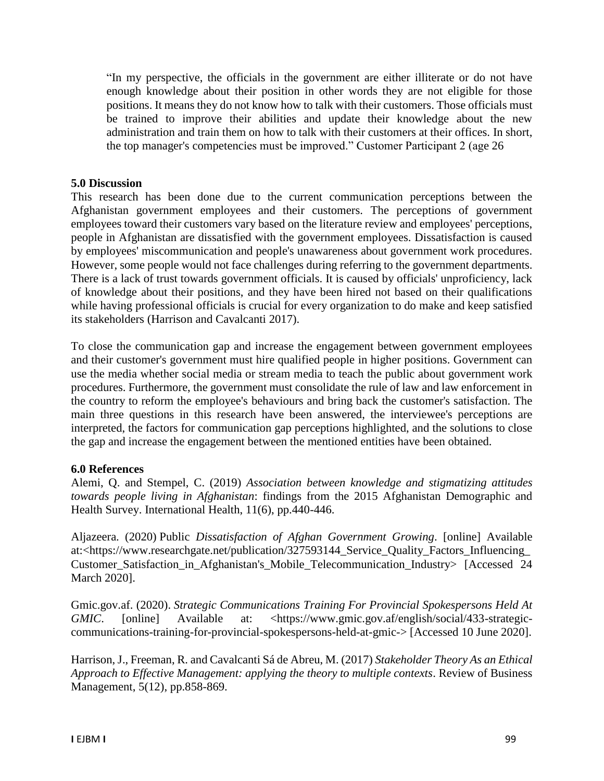"In my perspective, the officials in the government are either illiterate or do not have enough knowledge about their position in other words they are not eligible for those positions. It means they do not know how to talk with their customers. Those officials must be trained to improve their abilities and update their knowledge about the new administration and train them on how to talk with their customers at their offices. In short, the top manager's competencies must be improved." Customer Participant 2 (age 26

#### **5.0 Discussion**

This research has been done due to the current communication perceptions between the Afghanistan government employees and their customers. The perceptions of government employees toward their customers vary based on the literature review and employees' perceptions, people in Afghanistan are dissatisfied with the government employees. Dissatisfaction is caused by employees' miscommunication and people's unawareness about government work procedures. However, some people would not face challenges during referring to the government departments. There is a lack of trust towards government officials. It is caused by officials' unproficiency, lack of knowledge about their positions, and they have been hired not based on their qualifications while having professional officials is crucial for every organization to do make and keep satisfied its stakeholders (Harrison and Cavalcanti 2017).

To close the communication gap and increase the engagement between government employees and their customer's government must hire qualified people in higher positions. Government can use the media whether social media or stream media to teach the public about government work procedures. Furthermore, the government must consolidate the rule of law and law enforcement in the country to reform the employee's behaviours and bring back the customer's satisfaction. The main three questions in this research have been answered, the interviewee's perceptions are interpreted, the factors for communication gap perceptions highlighted, and the solutions to close the gap and increase the engagement between the mentioned entities have been obtained.

### **6.0 References**

Alemi, Q. and Stempel, C. (2019) *Association between knowledge and stigmatizing attitudes towards people living in Afghanistan*: findings from the 2015 Afghanistan Demographic and Health Survey. International Health, 11(6), pp.440-446.

Aljazeera. (2020) Public *Dissatisfaction of Afghan Government Growing*. [online] Available at:<https://www.researchgate.net/publication/327593144\_Service\_Quality\_Factors\_Influencing\_ Customer\_Satisfaction\_in\_Afghanistan's\_Mobile\_Telecommunication\_Industry> [Accessed 24 March 2020].

Gmic.gov.af. (2020). *Strategic Communications Training For Provincial Spokespersons Held At GMIC*. [online] Available at: <https://www.gmic.gov.af/english/social/433-strategiccommunications-training-for-provincial-spokespersons-held-at-gmic-> [Accessed 10 June 2020].

Harrison, J., Freeman, R. and Cavalcanti Sá de Abreu, M. (2017) *Stakeholder Theory As an Ethical Approach to Effective Management: applying the theory to multiple contexts*. Review of Business Management, 5(12), pp.858-869.